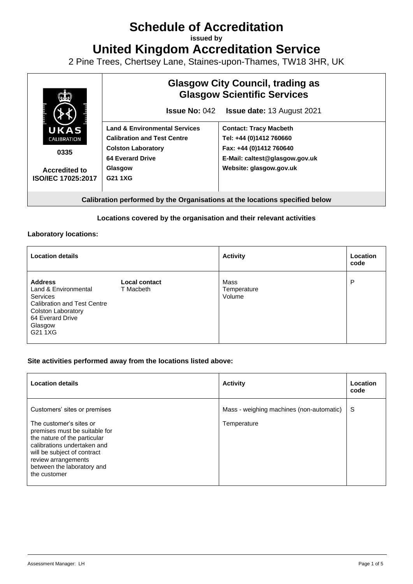# **Schedule of Accreditation**

**issued by**

**United Kingdom Accreditation Service**

2 Pine Trees, Chertsey Lane, Staines-upon-Thames, TW18 3HR, UK



## **Locations covered by the organisation and their relevant activities**

#### **Laboratory locations:**

| <b>Location details</b>                                                                                                                                                |                                   | <b>Activity</b>               | Location<br>code |
|------------------------------------------------------------------------------------------------------------------------------------------------------------------------|-----------------------------------|-------------------------------|------------------|
| <b>Address</b><br>Land & Environmental<br><b>Services</b><br><b>Calibration and Test Centre</b><br><b>Colston Laboratory</b><br>64 Everard Drive<br>Glasgow<br>G21 1XG | <b>Local contact</b><br>T Macbeth | Mass<br>Temperature<br>Volume | P                |

#### **Site activities performed away from the locations listed above:**

| <b>Location details</b>                                                                                                                                                                                                     | <b>Activity</b>                          | Location<br>code |
|-----------------------------------------------------------------------------------------------------------------------------------------------------------------------------------------------------------------------------|------------------------------------------|------------------|
| Customers' sites or premises                                                                                                                                                                                                | Mass - weighing machines (non-automatic) | S                |
| The customer's sites or<br>premises must be suitable for<br>the nature of the particular<br>calibrations undertaken and<br>will be subject of contract<br>review arrangements<br>between the laboratory and<br>the customer | Temperature                              |                  |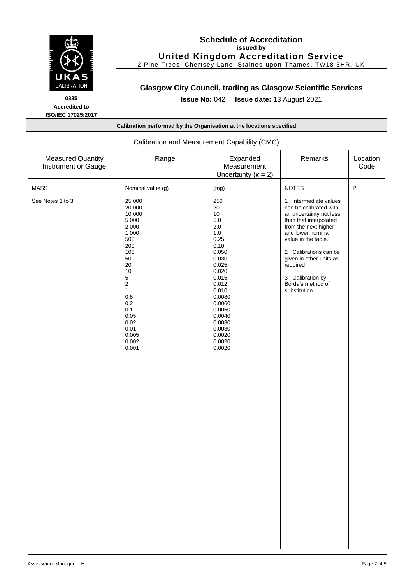

**Schedule of Accreditation issued by United Kingdom Accreditation Service**

2 Pine Trees, Chertsey Lane, Staines -upon -Thames, TW18 3HR, UK

## **Glasgow City Council, trading as Glasgow Scientific Services**

**Issue No:** 042 **Issue date:** 13 August 2021

#### **Calibration performed by the Organisation at the locations specified**

| <b>Measured Quantity</b><br>Instrument or Gauge | Range                                                                                                                                                                                                                                                 | Expanded<br>Measurement<br>Uncertainty $(k = 2)$                                                                                                                                                                                | Remarks                                                                                                                                                                                                                                                                                                           | Location<br>Code |
|-------------------------------------------------|-------------------------------------------------------------------------------------------------------------------------------------------------------------------------------------------------------------------------------------------------------|---------------------------------------------------------------------------------------------------------------------------------------------------------------------------------------------------------------------------------|-------------------------------------------------------------------------------------------------------------------------------------------------------------------------------------------------------------------------------------------------------------------------------------------------------------------|------------------|
| <b>MASS</b><br>See Notes 1 to 3                 | Nominal value (g)<br>25 000<br>20 000<br>10 000<br>5 000<br>2 0 0 0<br>1 0 0 0<br>500<br>200<br>100<br>50<br>20<br>10<br>5<br>$\overline{\mathbf{c}}$<br>$\mathbf{1}$<br>$0.5\,$<br>$0.2\,$<br>0.1<br>0.05<br>0.02<br>0.01<br>0.005<br>0.002<br>0.001 | (mg)<br>250<br>$20\,$<br>$10$<br>5.0<br>2.0<br>$1.0\,$<br>0.25<br>0.10<br>0.050<br>0.030<br>0.025<br>0.020<br>0.015<br>0.012<br>0.010<br>0.0080<br>0.0060<br>0.0050<br>0.0040<br>0.0030<br>0.0030<br>0.0020<br>0.0020<br>0.0020 | <b>NOTES</b><br>1 Intermediate values<br>can be calibrated with<br>an uncertainty not less<br>than that interpolated<br>from the next higher<br>and lower nominal<br>value in the table.<br>2 Calibrations can be<br>given in other units as<br>required<br>3 Calibration by<br>Borda's method of<br>substitution | P                |

## Calibration and Measurement Capability (CMC)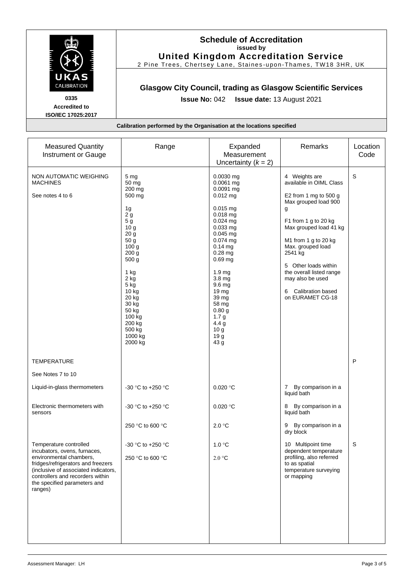

#### **Schedule of Accreditation issued by United Kingdom Accreditation Service**

2 Pine Trees, Chertsey Lane, Staines -upon -Thames, TW18 3HR, UK

## **Glasgow City Council, trading as Glasgow Scientific Services**

**Issue No:** 042 **Issue date:** 13 August 2021

**Calibration performed by the Organisation at the locations specified**

| <b>Measured Quantity</b><br>Instrument or Gauge                                                                                                                                                                                                | Range                                                                                                                                                                                                                                                                          | Expanded<br>Measurement<br>Uncertainty $(k = 2)$                                                                                                                                                                                                                                                                                                                           | Remarks                                                                                                                                                                                                                                                                                                                     | Location<br>Code |
|------------------------------------------------------------------------------------------------------------------------------------------------------------------------------------------------------------------------------------------------|--------------------------------------------------------------------------------------------------------------------------------------------------------------------------------------------------------------------------------------------------------------------------------|----------------------------------------------------------------------------------------------------------------------------------------------------------------------------------------------------------------------------------------------------------------------------------------------------------------------------------------------------------------------------|-----------------------------------------------------------------------------------------------------------------------------------------------------------------------------------------------------------------------------------------------------------------------------------------------------------------------------|------------------|
| NON AUTOMATIC WEIGHING<br><b>MACHINES</b><br>See notes 4 to 6                                                                                                                                                                                  | 5 <sub>mg</sub><br>50 mg<br>200 mg<br>500 mg<br>1g<br>2g<br>5 <sub>g</sub><br>10 <sub>g</sub><br>20 <sub>g</sub><br>50 g<br>100 <sub>g</sub><br>200 g<br>500 g<br>1 kg<br>2 kg<br>5 kg<br>10 kg<br>20 kg<br>30 kg<br>50 kg<br>100 kg<br>200 kg<br>500 kg<br>1000 kg<br>2000 kg | $0.0030$ mg<br>$0.0061$ mg<br>$0.0091$ mg<br>$0.012 \,\mathrm{mg}$<br>$0.015$ mg<br>$0.018$ mg<br>0.024 mg<br>$0.033$ mg<br>$0.045$ mg<br>$0.074$ mg<br>$0.14$ mg<br>$0.28$ mg<br>$0.69$ mg<br>1.9 mg<br>3.8 mg<br>9.6 <sub>mg</sub><br>19 mg<br>39 mg<br>58 mg<br>0.80 <sub>g</sub><br>1.7 <sub>g</sub><br>4.4 <sub>g</sub><br>10 <sub>g</sub><br>19 <sub>g</sub><br>43 g | 4 Weights are<br>available in OIML Class<br>E2 from 1 mg to 500 g<br>Max grouped load 900<br>g<br>F1 from 1 g to 20 kg<br>Max grouped load 41 kg<br>M1 from 1 g to 20 kg<br>Max. grouped load<br>2541 kg<br>5 Other loads within<br>the overall listed range<br>may also be used<br>6 Calibration based<br>on EURAMET CG-18 | S                |
| TEMPERATURE<br>See Notes 7 to 10                                                                                                                                                                                                               |                                                                                                                                                                                                                                                                                |                                                                                                                                                                                                                                                                                                                                                                            |                                                                                                                                                                                                                                                                                                                             | P                |
| Liquid-in-glass thermometers                                                                                                                                                                                                                   | -30 °C to +250 °C                                                                                                                                                                                                                                                              | 0.020 °C                                                                                                                                                                                                                                                                                                                                                                   | By comparison in a<br>$7^{\circ}$<br>liquid bath                                                                                                                                                                                                                                                                            |                  |
| Electronic thermometers with<br>sensors                                                                                                                                                                                                        | -30 °C to +250 °C                                                                                                                                                                                                                                                              | 0.020 °C                                                                                                                                                                                                                                                                                                                                                                   | By comparison in a<br>8<br>liquid bath                                                                                                                                                                                                                                                                                      |                  |
| Temperature controlled<br>incubators, ovens, furnaces,<br>environmental chambers,<br>fridges/refrigerators and freezers<br>(inclusive of associated indicators,<br>controllers and recorders within<br>the specified parameters and<br>ranges) | 250 °C to 600 °C<br>-30 °C to +250 °C<br>250 °C to 600 °C                                                                                                                                                                                                                      | 2.0 °C<br>1.0 °C<br>2.0 °C                                                                                                                                                                                                                                                                                                                                                 | By comparison in a<br>9<br>dry block<br>10 Multipoint time<br>dependent temperature<br>profiling, also referred<br>to as spatial<br>temperature surveying<br>or mapping                                                                                                                                                     | S                |
|                                                                                                                                                                                                                                                |                                                                                                                                                                                                                                                                                |                                                                                                                                                                                                                                                                                                                                                                            |                                                                                                                                                                                                                                                                                                                             |                  |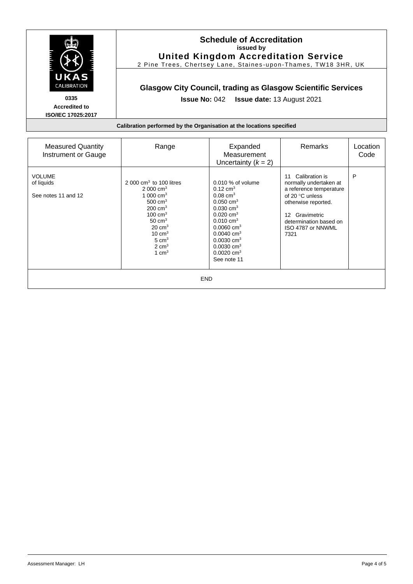

#### **Schedule of Accreditation issued by United Kingdom Accreditation Service**

2 Pine Trees, Chertsey Lane, Staines -upon -Thames, TW18 3HR, UK

## **Glasgow City Council, trading as Glasgow Scientific Services**

**Issue No:** 042 **Issue date:** 13 August 2021

**Calibration performed by the Organisation at the locations specified**

| <b>Measured Quantity</b><br>Instrument or Gauge    | Range                                                                                                                                                                                                                     | Expanded<br>Measurement<br>Uncertainty $(k = 2)$                                                                                                                                                                                                                                                                    | Remarks                                                                                                                                                                                                  | Location<br>Code |
|----------------------------------------------------|---------------------------------------------------------------------------------------------------------------------------------------------------------------------------------------------------------------------------|---------------------------------------------------------------------------------------------------------------------------------------------------------------------------------------------------------------------------------------------------------------------------------------------------------------------|----------------------------------------------------------------------------------------------------------------------------------------------------------------------------------------------------------|------------------|
| <b>VOLUME</b><br>of liquids<br>See notes 11 and 12 | 2 000 $cm3$ to 100 litres<br>2 000 $cm3$<br>1 000 $cm3$<br>$500 \text{ cm}^3$<br>$200 \text{ cm}^3$<br>100 $cm3$<br>$50 \text{ cm}^3$<br>$20 \text{ cm}^3$<br>10 $cm3$<br>$5 \text{ cm}^3$<br>$2 \text{ cm}^3$<br>1 $cm3$ | $0.010$ % of volume<br>$0.12 \text{ cm}^3$<br>$0.08 \text{ cm}^3$<br>$0.050 \text{ cm}^3$<br>$0.030 \text{ cm}^3$<br>$0.020 \text{ cm}^3$<br>$0.010 \text{ cm}^3$<br>$0.0060 \text{ cm}^3$<br>$0.0040 \text{ cm}^3$<br>$0.0030$ cm <sup>3</sup><br>$0.0030 \text{ cm}^3$<br>$0.0020$ cm <sup>3</sup><br>See note 11 | Calibration is<br>11<br>normally undertaken at<br>a reference temperature<br>of 20 $\degree$ C unless<br>otherwise reported.<br>Gravimetric<br>12<br>determination based on<br>ISO 4787 or NNWML<br>7321 | P                |
| <b>END</b>                                         |                                                                                                                                                                                                                           |                                                                                                                                                                                                                                                                                                                     |                                                                                                                                                                                                          |                  |